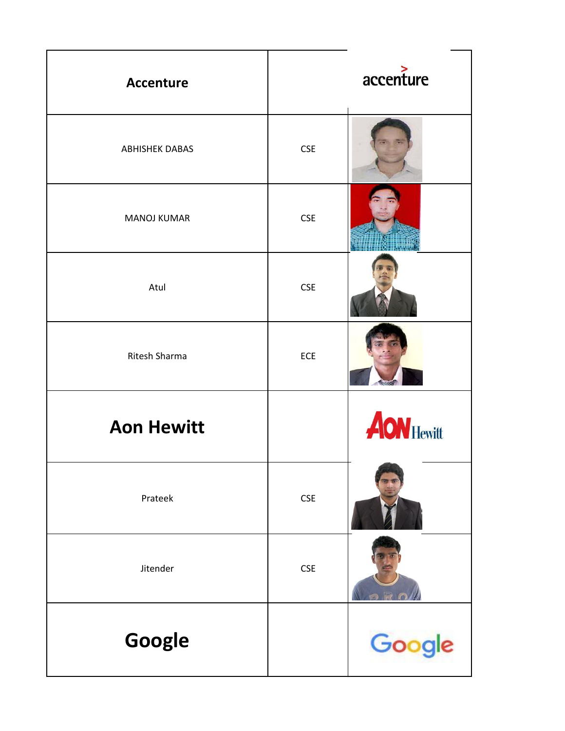| <b>Accenture</b>      |            | accenture         |
|-----------------------|------------|-------------------|
| <b>ABHISHEK DABAS</b> | <b>CSE</b> |                   |
| <b>MANOJ KUMAR</b>    | <b>CSE</b> |                   |
| Atul                  | <b>CSE</b> |                   |
| Ritesh Sharma         | ECE        |                   |
| <b>Aon Hewitt</b>     |            | <b>AON Hewitt</b> |
| Prateek               | <b>CSE</b> |                   |
| Jitender              | <b>CSE</b> |                   |
| Google                |            | Google            |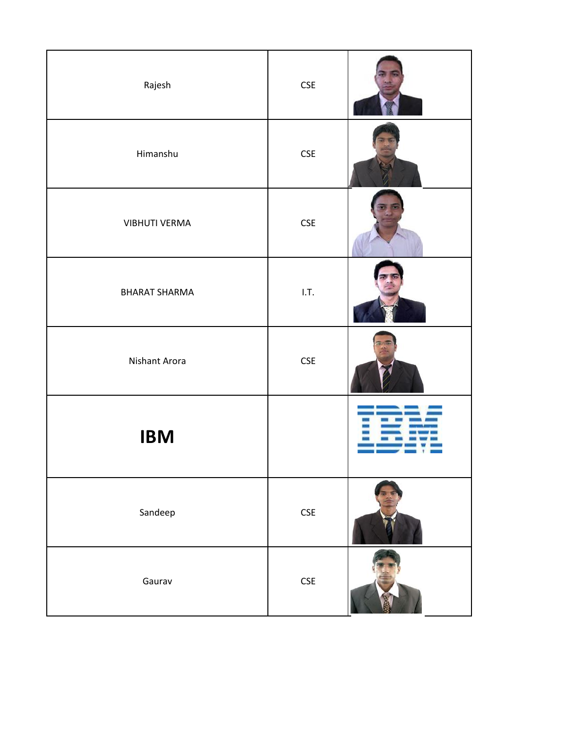| Rajesh               | $\mathsf{CSE}\xspace$ |  |
|----------------------|-----------------------|--|
| Himanshu             | $\mathsf{CSE}\xspace$ |  |
| <b>VIBHUTI VERMA</b> | $\mathsf{CSE}\xspace$ |  |
| <b>BHARAT SHARMA</b> | I.T.                  |  |
| Nishant Arora        | $\mathsf{CSE}\xspace$ |  |
| <b>IBM</b>           |                       |  |
| Sandeep              | $\mathsf{CSE}\xspace$ |  |
| Gaurav               | $\mathsf{CSE}\xspace$ |  |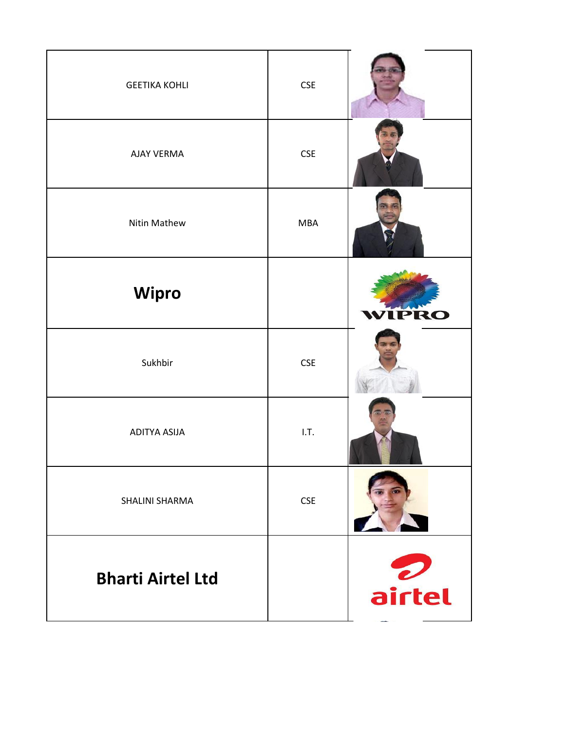| <b>GEETIKA KOHLI</b>     | <b>CSE</b>            |        |
|--------------------------|-----------------------|--------|
| <b>AJAY VERMA</b>        | <b>CSE</b>            |        |
| Nitin Mathew             | <b>MBA</b>            |        |
| <b>Wipro</b>             |                       | WIPRO  |
| Sukhbir                  | $\mathsf{CSE}\xspace$ |        |
| ADITYA ASIJA             | I.T.                  |        |
| SHALINI SHARMA           | <b>CSE</b>            |        |
| <b>Bharti Airtel Ltd</b> |                       | airtel |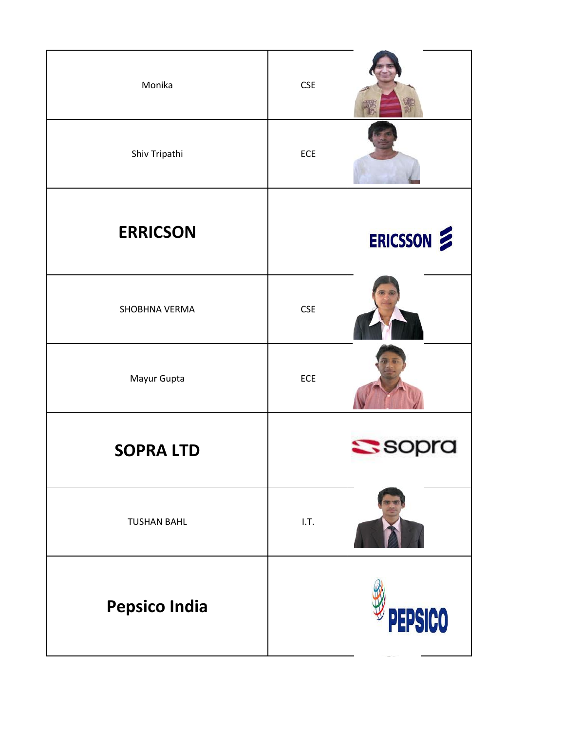| Monika               | <b>CSE</b> |                |
|----------------------|------------|----------------|
| Shiv Tripathi        | ECE        |                |
| <b>ERRICSON</b>      |            | ERICSSON       |
| SHOBHNA VERMA        | <b>CSE</b> |                |
| Mayur Gupta          | ECE        |                |
| <b>SOPRA LTD</b>     |            | <b>SSOPra</b>  |
| <b>TUSHAN BAHL</b>   | 1.7.       |                |
| <b>Pepsico India</b> |            | <b>PEPSICO</b> |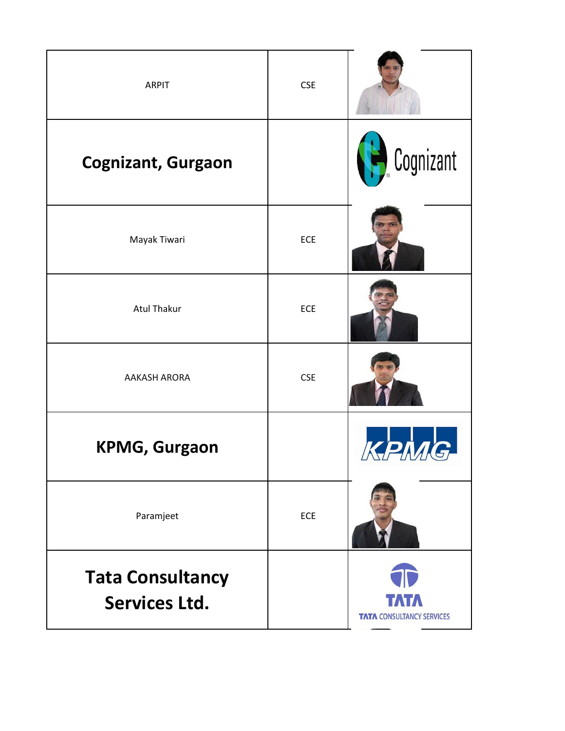| <b>ARPIT</b>                                    | <b>CSE</b> |                                          |
|-------------------------------------------------|------------|------------------------------------------|
| <b>Cognizant, Gurgaon</b>                       |            | Cognizant                                |
| Mayak Tiwari                                    | ECE        |                                          |
| <b>Atul Thakur</b>                              | ECE        |                                          |
| <b>AAKASH ARORA</b>                             | <b>CSE</b> |                                          |
| <b>KPMG, Gurgaon</b>                            |            |                                          |
| Paramjeet                                       | ECE        |                                          |
| <b>Tata Consultancy</b><br><b>Services Ltd.</b> |            | TATA<br><b>TATA CONSULTANCY SERVICES</b> |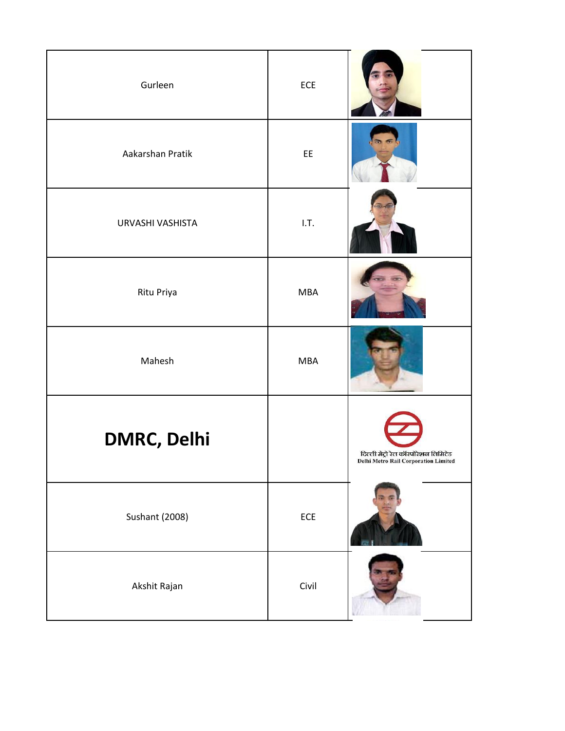| Gurleen               | ECE            |                                                                                    |
|-----------------------|----------------|------------------------------------------------------------------------------------|
| Aakarshan Pratik      | EE             |                                                                                    |
| URVASHI VASHISTA      | 1.7.           |                                                                                    |
| Ritu Priya            | <b>MBA</b>     |                                                                                    |
| Mahesh                | <b>MBA</b>     |                                                                                    |
| <b>DMRC, Delhi</b>    |                | दिल्ली मेट्रो रेल कॉरपोरेशन लिमिटेड<br><b>Delhi Metro Rail Corporation Limited</b> |
| <b>Sushant (2008)</b> | $\mathsf{ECE}$ |                                                                                    |
| Akshit Rajan          | Civil          |                                                                                    |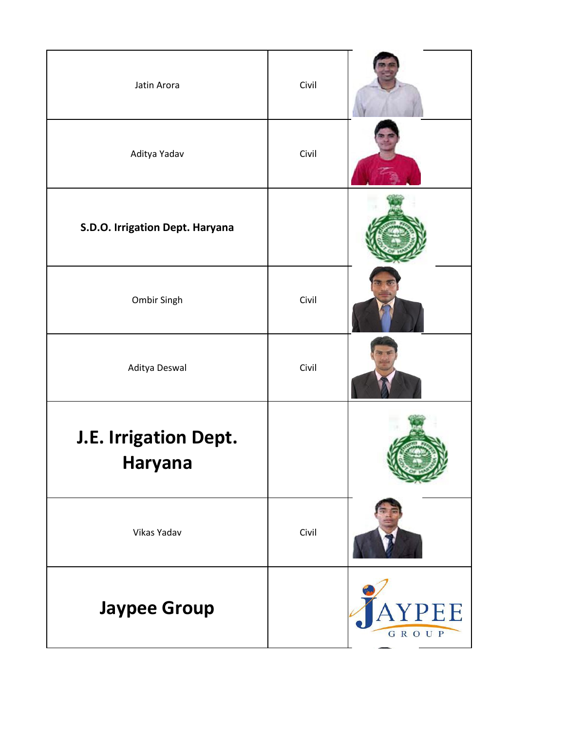| Jatin Arora                      | Civil |              |
|----------------------------------|-------|--------------|
| Aditya Yadav                     | Civil |              |
| S.D.O. Irrigation Dept. Haryana  |       |              |
| Ombir Singh                      | Civil |              |
| Aditya Deswal                    | Civil |              |
| J.E. Irrigation Dept.<br>Haryana |       |              |
| Vikas Yadav                      | Civil |              |
| <b>Jaypee Group</b>              |       | PEE<br>GROUP |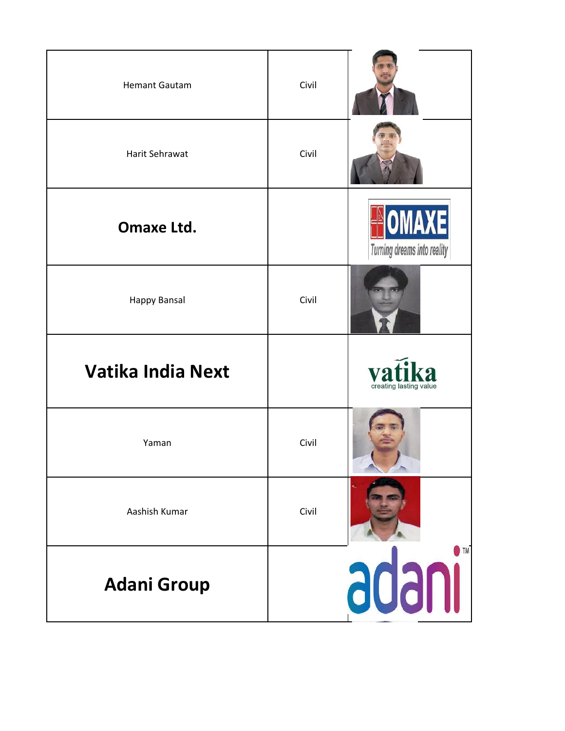| <b>Hemant Gautam</b>     | Civil |                                                  |
|--------------------------|-------|--------------------------------------------------|
| Harit Sehrawat           | Civil |                                                  |
| <b>Omaxe Ltd.</b>        |       | NOMAXE<br>Turning dreams into reality            |
| Happy Bansal             | Civil |                                                  |
| <b>Vatika India Next</b> |       | vafil<br>$k\mathbf{a}$<br>creating lasting value |
| Yaman                    | Civil |                                                  |
| Aashish Kumar            | Civil |                                                  |
| <b>Adani Group</b>       |       | $\bigcap$ TM<br>adanı                            |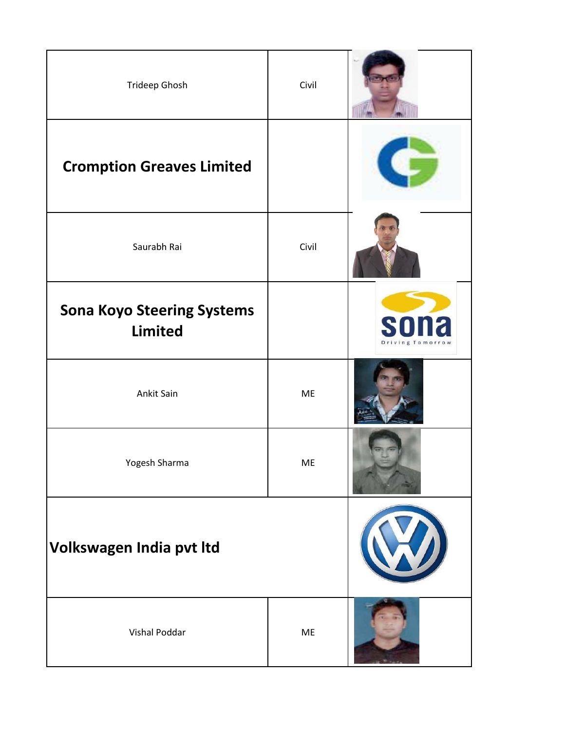| Trideep Ghosh                                       | Civil |                                             |
|-----------------------------------------------------|-------|---------------------------------------------|
| <b>Cromption Greaves Limited</b>                    |       |                                             |
| Saurabh Rai                                         | Civil |                                             |
| <b>Sona Koyo Steering Systems</b><br><b>Limited</b> |       | S<br>$\overline{\cdot}$<br>Driving Tomorrow |
| Ankit Sain                                          | ME    |                                             |
| Yogesh Sharma                                       | ME    |                                             |
| Volkswagen India pvt Itd                            |       |                                             |
| Vishal Poddar                                       | ME    |                                             |